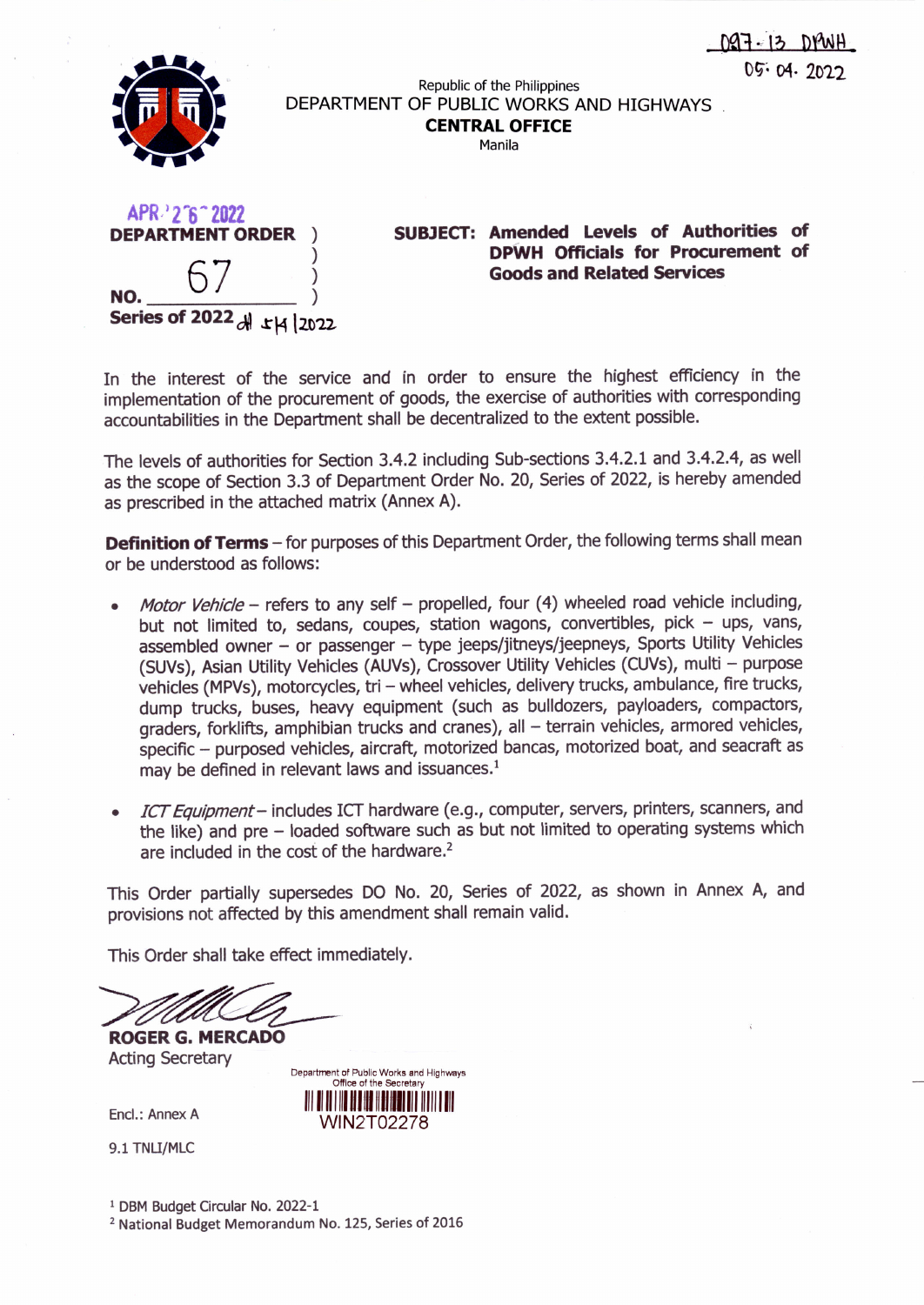



Republic of the Philippines DEPARTMENT OF PUBLIC WORKS AND HIGHWAYS **CENTRALOFFICE**

Manila

| APR22'6"2022<br><b>DEPARTMENT ORDER</b> |  |
|-----------------------------------------|--|
| NO.                                     |  |
| Series of 2022 dl 14 2022               |  |

**SUBJECT: Amended Levels of Authorities of DPWH Officials for Procurement of Goods and Related Services**

In the interest of the service and in order to ensure the highest efficiency in the implementation of the procurement of goods, the exercise of authorities with corresponding accountabilities in the Department shall be decentralized to the extent possible.

The levels of authorities for Section 3.4.2 including Sub-sections 3.4.2.1 and 3.4.2.4, as well as the scope of Section 3.3 of Department Order No. 20, Series of 2022, is hereby amended as prescribed in the attached matrix (Annex A).

**Definition of Terms -** for purposes of this Department Order, the following terms shall mean or be understood as follows:

- *• Motor Vehicle -* refers to any self propelled, four (4) wheeled road vehicle including, but not limited to, sedans, coupes, station wagons, convertibles, pick - ups, vans, assembled owner - or passenger - type jeeps/jitneys/jeepneys, Sports Utility Vehicles (SUVs), Asian Utility Vehicles (AUVs), Crossover Utility Vehicles (CUVs), multi - purpose vehicles (MPVs), motorcycles, tri - wheel vehicles, delivery trucks, ambulance, fire trucks, dump trucks, buses, heavy equipment (such as bulldozers, payloaders, compactors, graders, forklifts, amphibian trucks and cranes), all - terrain vehicles, armored vehicles, specific - purposed vehicles, aircraft, motorized bancas, motorized boat, and seacraft as may be defined in relevant laws and issuances.<sup>1</sup>
- *• fCT Equipment-* includes ICT hardware (e.g., computer, servers, printers, scanners, and the like) and pre - loaded software such as but not limited to operating systems which are included in the cost of the hardware.<sup>2</sup>

This Order partially supersedes DO No. 20, Series of 2022, as shown in Annex A, and provisions not affected by this amendment shall remain valid.

> Departrrent of Public Works and Highways Office of the Secretar **1111111111111111111111111111** 11111 **1111** WIN2T02278

This Order shall take effect immediately.

**ROGER G. MERCADO**

Acting Secretary

Encl.: Annex A

9.1 TNU/MLC

1 DBM Budget Circular No. 2022-1

2 National Budget Memorandum No. 125, Series of 2016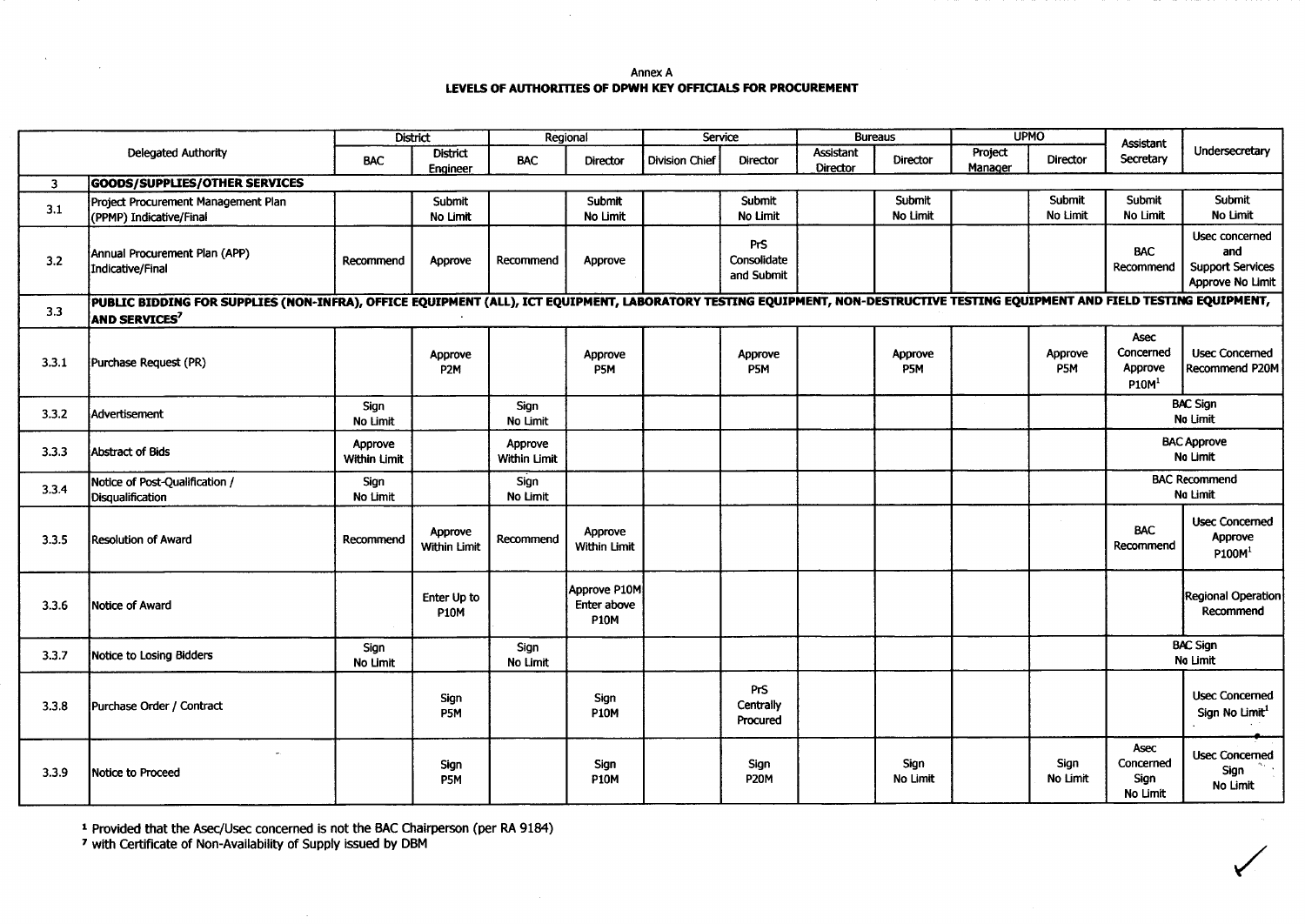Annex A **LEVELSOF AUTHORITlES OF DPWH KEYOFFICIALS FOR PROCUREMENT**

|                         |                                                                                                                                                                                                                 | <b>District</b>         |                             | Regional                |                                            | Service               |                                         | <b>Bureaus</b>               |                    | <b>UPMO</b>        |                    | <b>Assistant</b>                                         |                                                                      |
|-------------------------|-----------------------------------------------------------------------------------------------------------------------------------------------------------------------------------------------------------------|-------------------------|-----------------------------|-------------------------|--------------------------------------------|-----------------------|-----------------------------------------|------------------------------|--------------------|--------------------|--------------------|----------------------------------------------------------|----------------------------------------------------------------------|
|                         | Delegated Authority                                                                                                                                                                                             | <b>BAC</b>              | <b>District</b><br>Engineer | <b>BAC</b>              | <b>Director</b>                            | <b>Division Chief</b> | Director                                | Assistant<br><b>Director</b> | <b>Director</b>    | Project<br>Manager | Director           | Secretary                                                | Undersecretary                                                       |
| $\overline{\mathbf{3}}$ | <b>GOODS/SUPPLIES/OTHER SERVICES</b>                                                                                                                                                                            |                         |                             |                         |                                            |                       |                                         |                              |                    |                    |                    |                                                          |                                                                      |
| 3.1                     | Proiect Procurement Management Plan<br>(PPMP) Indicative/Final                                                                                                                                                  |                         | Submit<br>No Limit          |                         | Submit<br>No Limit                         |                       | Submit<br>No Limit                      |                              | Submit<br>No Limit |                    | Submit<br>No Limit | Submit<br>No Limit                                       | Submit<br>No Limit                                                   |
| 3.2                     | Annual Procurement Plan (APP)<br>Indicative/Final                                                                                                                                                               | Recommend               | Approve                     | Recommend               | Approve                                    |                       | <b>PrS</b><br>Consolidate<br>and Submit |                              |                    |                    |                    | <b>BAC</b><br>Recommend                                  | Usec concerned<br>and<br><b>Support Services</b><br>Approve No Limit |
| 3.3                     | PUBLIC BIDDING FOR SUPPLIES (NON-INFRA), OFFICE EQUIPMENT (ALL), ICT EQUIPMENT, LABORATORY TESTING EQUIPMENT, NON-DESTRUCTIVE TESTING EQUIPMENT AND FIELD TESTING EQUIPMENT,<br><b>AND SERVICES<sup>7</sup></b> |                         |                             |                         |                                            |                       |                                         |                              |                    |                    |                    |                                                          |                                                                      |
| 3.3.1                   | Purchase Request (PR)                                                                                                                                                                                           |                         | Approve<br>P <sub>2</sub> M |                         | Approve<br>P5M                             |                       | Approve<br>P5M                          |                              | Approve<br>P5M     |                    | Approve<br>P5M     | <b>Asec</b><br>Concerned<br>Approve<br>P10M <sup>1</sup> | <b>Usec Concerned</b><br>Recommend P20M                              |
| 3.3.2                   | Advertisement                                                                                                                                                                                                   | Sign<br>No Limit        |                             | Sign<br>No Limit        |                                            |                       |                                         |                              |                    |                    |                    |                                                          | <b>BAC Sign</b><br>No Limit                                          |
| 3.3.3                   | Abstract of Bids                                                                                                                                                                                                | Approve<br>Within Limit |                             | Approve<br>Within Limit |                                            |                       |                                         |                              |                    |                    |                    | <b>BAC Approve</b><br>No Limit                           |                                                                      |
| 3.3.4                   | Notice of Post-Qualification /<br><b>Disqualification</b>                                                                                                                                                       | Sign<br>No Limit        |                             | Sign<br>No Limit        |                                            |                       |                                         |                              |                    |                    |                    | <b>BAC Recommend</b><br>No Limit                         |                                                                      |
| 3.3.5                   | <b>Resolution of Award</b>                                                                                                                                                                                      | Recommend               | Approve<br>Within Limit     | Recommend               | Approve<br><b>Within Limit</b>             |                       |                                         |                              |                    |                    |                    | <b>BAC</b><br>Recommend                                  | <b>Usec Concerned</b><br>Approve<br>P100M <sup>1</sup>               |
| 3.3.6                   | Notice of Award                                                                                                                                                                                                 |                         | Enter Up to<br><b>P10M</b>  |                         | Approve P10M<br>Enter above<br><b>P10M</b> |                       |                                         |                              |                    |                    |                    |                                                          | Regional Operation<br>Recommend                                      |
| 3.3.7                   | Notice to Losing Bidders                                                                                                                                                                                        | Sign<br>No Limit        |                             | Sign<br>No Limit        |                                            |                       |                                         |                              |                    |                    |                    |                                                          | <b>BAC Sign</b><br>No Limit                                          |
| 3.3.8                   | Purchase Order / Contract                                                                                                                                                                                       |                         | Sign<br>P5M                 |                         | Sign<br><b>P10M</b>                        |                       | <b>PrS</b><br>Centrally<br>Procured     |                              |                    |                    |                    |                                                          | <b>Usec Concerned</b><br>Sign No Limit <sup>1</sup>                  |
| 3.3.9                   | Notice to Proceed                                                                                                                                                                                               |                         | Sign<br>P5M                 |                         | Sign<br><b>P10M</b>                        |                       | Sign<br><b>P20M</b>                     |                              | Sign<br>No Limit   |                    | Sign<br>No Limit   | Asec<br>Concerned<br>Sign<br>No Limit                    | <b>Usec Concerned</b><br>Sign<br>No Limit                            |

<sup>1</sup> Provided that the Asec/Usec concerned is not the BAC Chairperson (per RA 9184)

 $\mathcal{A}$ 

7 with Certificate of Non-Availability of Supply issued by DBM

 $\sim 100$  km s  $^{-1}$ 

 $\sim 10^{11}$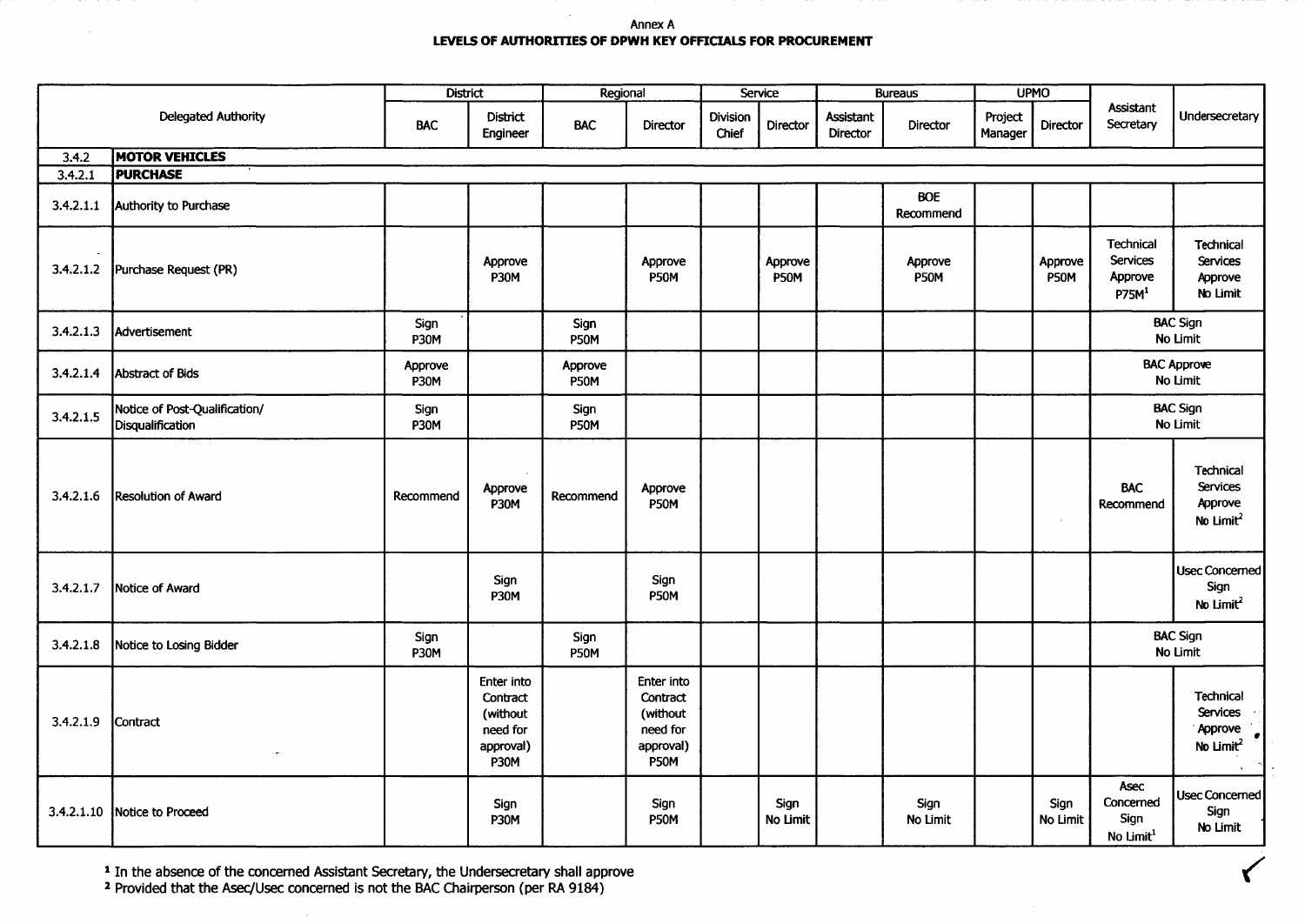## Annex A **LEVELS OF AUTHORITIES OF DPWH KEY OFFICIALS FOR PROCUREMENT**

|           |                                                   | <b>District</b>     |                                                                            | Regional               |                                                                            | Service                  |                        | <b>Bureaus</b>        |                         | <b>UPMO</b>        |                  |                                                              |                                                                                      |
|-----------|---------------------------------------------------|---------------------|----------------------------------------------------------------------------|------------------------|----------------------------------------------------------------------------|--------------------------|------------------------|-----------------------|-------------------------|--------------------|------------------|--------------------------------------------------------------|--------------------------------------------------------------------------------------|
|           | <b>Delegated Authority</b>                        | <b>BAC</b>          | District<br>Engineer                                                       | <b>BAC</b>             | <b>Director</b>                                                            | <b>Division</b><br>Chief | Director               | Assistant<br>Director | <b>Director</b>         | Project<br>Manager | <b>Director</b>  | Assistant<br>Secretary                                       | Undersecretary                                                                       |
| 3.4.2     | <b>MOTOR VEHICLES</b>                             |                     |                                                                            |                        |                                                                            |                          |                        |                       |                         |                    |                  |                                                              |                                                                                      |
| 3.4.2.1   | <b>PURCHASE</b>                                   |                     |                                                                            |                        |                                                                            |                          |                        |                       |                         |                    |                  |                                                              |                                                                                      |
| 3.4.2.1.1 | Authority to Purchase                             |                     |                                                                            |                        |                                                                            |                          |                        |                       | <b>BOE</b><br>Recommend |                    |                  |                                                              |                                                                                      |
| 3.4.2.1.2 | Purchase Request (PR)                             |                     | Approve<br><b>P30M</b>                                                     |                        | Approve<br><b>P50M</b>                                                     |                          | Approve<br><b>P50M</b> |                       | Approve<br><b>P50M</b>  |                    | Approve<br>P50M  | Technical<br><b>Services</b><br>Approve<br>P75M <sup>1</sup> | Technical<br><b>Services</b><br>Approve<br>No Limit                                  |
| 3.4.2.1.3 | Advertisement                                     | Sign<br><b>P30M</b> |                                                                            | Sign<br><b>P50M</b>    |                                                                            |                          |                        |                       |                         |                    |                  |                                                              | <b>BAC Sign</b><br>No Limit                                                          |
| 3.4.2.1.4 | Abstract of Bids                                  | Approve<br>P30M     |                                                                            | Approve<br><b>P50M</b> |                                                                            |                          |                        |                       |                         |                    |                  |                                                              | <b>BAC Approve</b><br>No Limit                                                       |
| 3.4.2.1.5 | Notice of Post-Qualification/<br>Disqualification | Sign<br>P30M        |                                                                            | Sign<br><b>P50M</b>    |                                                                            |                          |                        |                       |                         |                    |                  |                                                              | <b>BAC Sign</b><br>No Limit                                                          |
| 3.4.2.1.6 | Resolution of Award                               | Recommend           | Approve<br><b>P30M</b>                                                     | Recommend              | Approve<br><b>P50M</b>                                                     |                          |                        |                       |                         |                    | $\sim$           | <b>BAC</b><br>Recommend                                      | Technical<br><b>Services</b><br>Approve<br>No Limit <sup>2</sup>                     |
| 3.4.2.1.7 | Notice of Award                                   |                     | Sign<br>P30M                                                               |                        | Sign<br>P50M                                                               |                          |                        |                       |                         |                    |                  |                                                              | Usec Concerned<br>Sign<br>No Limit <sup>2</sup>                                      |
| 3.4.2.1.8 | Notice to Losing Bidder                           | Sign<br><b>P30M</b> |                                                                            | Sign<br><b>P50M</b>    |                                                                            |                          |                        |                       |                         |                    |                  |                                                              | <b>BAC Sign</b><br>No Limit                                                          |
| 3.4.2.1.9 | Contract                                          |                     | Enter into<br>Contract<br>(without<br>need for<br>approval)<br><b>P30M</b> |                        | Enter into<br>Contract<br>(without<br>need for<br>approval)<br><b>P50M</b> |                          |                        |                       |                         |                    |                  |                                                              | <b>Technical</b><br>Services ·<br>Approve<br>$\left  \cdot \right $<br>No Limit $^2$ |
|           | 3.4.2.1.10 Notice to Proceed                      |                     | Sign<br><b>P30M</b>                                                        |                        | Sign<br>P50M                                                               |                          | Sign<br>No Limit       |                       | Sign<br>No Limit        |                    | Sign<br>No Limit | <b>Asec</b><br>Concerned<br>Sign<br>No Limit <sup>1</sup>    | <b>Usec Concerned</b><br>Sign<br>No Limit                                            |

<sup>1</sup> In the absence of the concerned Assistant Secretary, the Undersecretary shall approve

2 Provided that the Asec/Usec concerned is not the SAC Chairperson (per RA 9184)

 $\sim$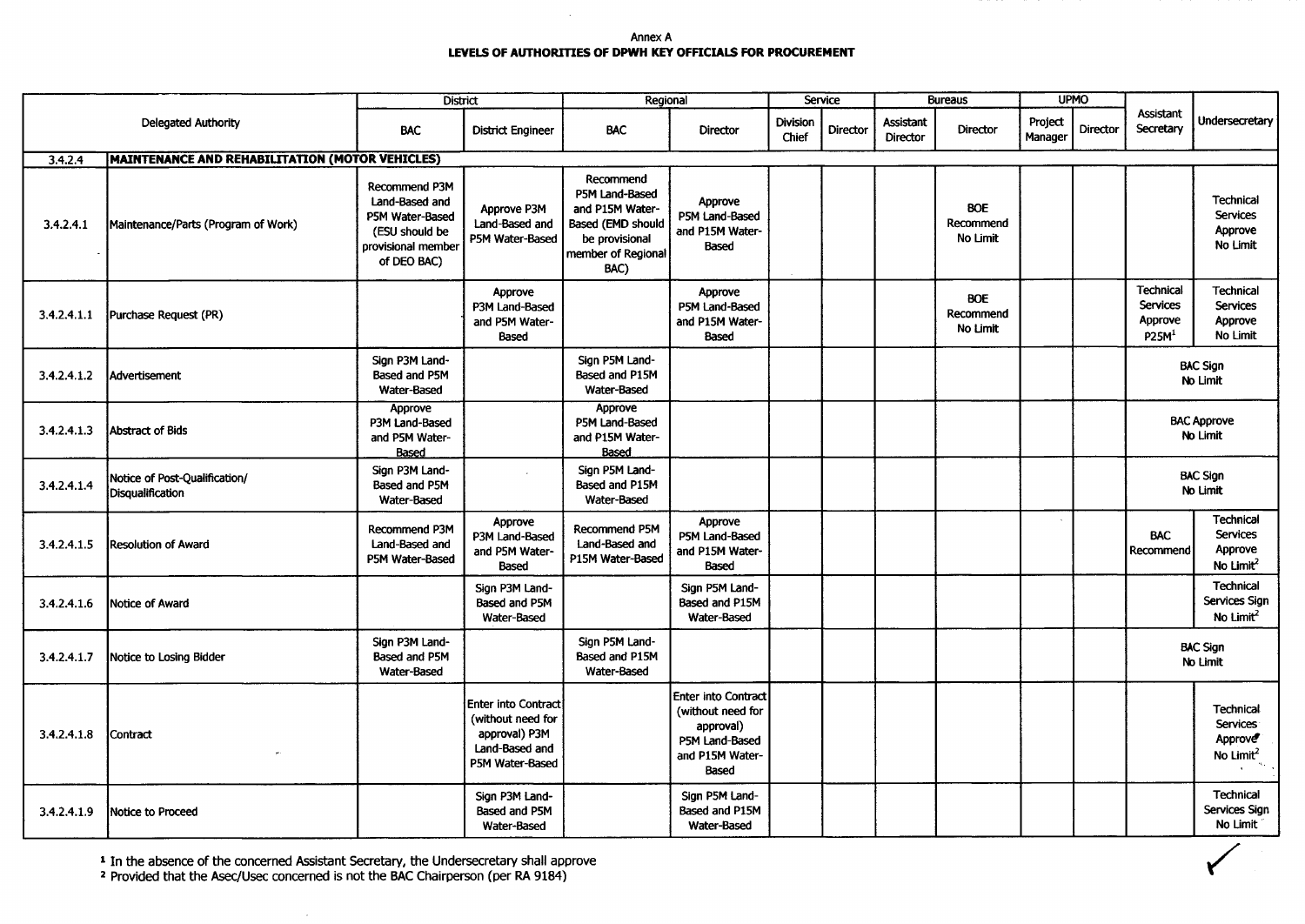Annex A **LEVELSOF AUTHORITIES OF DPWH KEY OFFICIALS FOR PROCUREMENT**

|             |                                                        | <b>District</b>                                                                                                  |                                                                                                       | Regional                                                                                                            | Service                                                                                                   |                   | <b>Bureaus</b> |                       | <b>UPMO</b>                         |                                       |  |                                                              |                                                                         |
|-------------|--------------------------------------------------------|------------------------------------------------------------------------------------------------------------------|-------------------------------------------------------------------------------------------------------|---------------------------------------------------------------------------------------------------------------------|-----------------------------------------------------------------------------------------------------------|-------------------|----------------|-----------------------|-------------------------------------|---------------------------------------|--|--------------------------------------------------------------|-------------------------------------------------------------------------|
|             | <b>Delegated Authority</b>                             | <b>BAC</b>                                                                                                       | <b>District Engineer</b>                                                                              | <b>BAC</b>                                                                                                          | Director                                                                                                  | Division<br>Chief | Director       | Assistant<br>Director | Director                            | Project<br><b>Director</b><br>Manager |  | <b>Assistant</b><br>Secretary                                | Undersecretary                                                          |
| 3.4.2.4     | <b>MAINTENANCE AND REHABILITATION (MOTOR VEHICLES)</b> |                                                                                                                  |                                                                                                       |                                                                                                                     |                                                                                                           |                   |                |                       |                                     |                                       |  |                                                              |                                                                         |
| 3.4.2.4.1   | Maintenance/Parts (Program of Work)                    | <b>Recommend P3M</b><br>Land-Based and<br>P5M Water-Based<br>(ESU should be<br>provisional member<br>of DEO BAC) | Approve P3M<br>Land-Based and<br>P5M Water-Based                                                      | Recommend<br>P5M Land-Based<br>and P15M Water-<br>Based (EMD should<br>be provisional<br>member of Regional<br>BAC) | Approve<br>P5M Land-Based<br>and P15M Water-<br><b>Based</b>                                              |                   |                |                       | <b>BOE</b><br>Recommend<br>No Limit |                                       |  |                                                              | Technical<br><b>Services</b><br>Approve<br>No Limit                     |
| 3.4.2.4.1.1 | Purchase Request (PR)                                  |                                                                                                                  | Approve<br>P3M Land-Based<br>and P5M Water-<br>Based                                                  |                                                                                                                     | Approve<br>P5M Land-Based<br>and P15M Water-<br>Based                                                     |                   |                |                       | <b>BOE</b><br>Recommend<br>No Limit |                                       |  | Technical<br><b>Services</b><br>Approve<br>P25M <sup>1</sup> | <b>Technical</b><br><b>Services</b><br>Approve<br>No Limit              |
| 3.4.2.4.1.2 | <b>Advertisement</b>                                   | Sign P3M Land-<br>Based and P5M<br>Water-Based                                                                   |                                                                                                       | Sign P5M Land-<br>Based and P15M<br>Water-Based                                                                     |                                                                                                           |                   |                |                       |                                     |                                       |  |                                                              | <b>BAC Sign</b><br>No Limit                                             |
| 3.4.2.4.1.3 | <b>Abstract of Bids</b>                                | Approve<br>P3M Land-Based<br>and P5M Water-<br>Based                                                             |                                                                                                       | Approve<br>P5M Land-Based<br>and P15M Water-<br>Based                                                               |                                                                                                           |                   |                |                       |                                     |                                       |  |                                                              | <b>BAC Approve</b><br>No Limit                                          |
| 3.4.2.4.1.4 | Notice of Post-Qualification/<br>Disqualification      | Sign P3M Land-<br>Based and P5M<br>Water-Based                                                                   |                                                                                                       | Sign P5M Land-<br>Based and P15M<br>Water-Based                                                                     |                                                                                                           |                   |                |                       |                                     |                                       |  | <b>BAC Sign</b><br>No Limit                                  |                                                                         |
| 3.4.2.4.1.5 | Resolution of Award                                    | Recommend P3M<br>Land-Based and<br>P5M Water-Based                                                               | Approve<br>P3M Land-Based<br>and P5M Water-<br>Based                                                  | Recommend P5M<br>Land-Based and<br>P15M Water-Based                                                                 | Approve<br>P5M Land-Based<br>and P15M Water-<br>Based                                                     |                   |                |                       |                                     |                                       |  | <b>BAC</b><br>Recommend                                      | <b>Technical</b><br><b>Services</b><br>Approve<br>No Limit <sup>2</sup> |
| 3.4.2.4.1.6 | Notice of Award                                        |                                                                                                                  | Sign P3M Land-<br>Based and P5M<br><b>Water-Based</b>                                                 |                                                                                                                     | Sign P5M Land-<br>Based and P15M<br>Water-Based                                                           |                   |                |                       |                                     |                                       |  |                                                              | <b>Technical</b><br>Services Sign<br>No Limit <sup>2</sup>              |
| 3.4.2.4.1.7 | Notice to Losing Bidder                                | Sign P3M Land-<br>Based and P5M<br>Water-Based                                                                   |                                                                                                       | Sign P5M Land-<br>Based and P15M<br>Water-Based                                                                     |                                                                                                           |                   |                |                       |                                     |                                       |  |                                                              | <b>BAC Sign</b><br>No Limit                                             |
| 3.4.2.4.1.8 | Contract                                               |                                                                                                                  | <b>Enter into Contract</b><br>(without need for<br>approval) P3M<br>Land-Based and<br>P5M Water-Based |                                                                                                                     | <b>Enter into Contract</b><br>(without need for<br>approval)<br>P5M Land-Based<br>and P15M Water<br>Based |                   |                |                       |                                     |                                       |  |                                                              | <b>Technical</b><br><b>Services</b><br>Approve<br>No Limit <sup>2</sup> |
| 3.4.2.4.1.9 | Notice to Proceed                                      |                                                                                                                  | Sign P3M Land-<br>Based and P5M<br>Water-Based                                                        |                                                                                                                     | Sign P5M Land-<br>Based and P15M<br>Water-Based                                                           |                   |                |                       |                                     |                                       |  |                                                              | Technical<br>Services Sign<br>No Limit                                  |

<sup>1</sup> In the absence of the concerned Assistant Secretary, the Undersecretary shall approve <sup>2</sup> Provided that the Asec/Usec concerned is not the BAC Chairperson (per RA 9184)

 $\alpha$